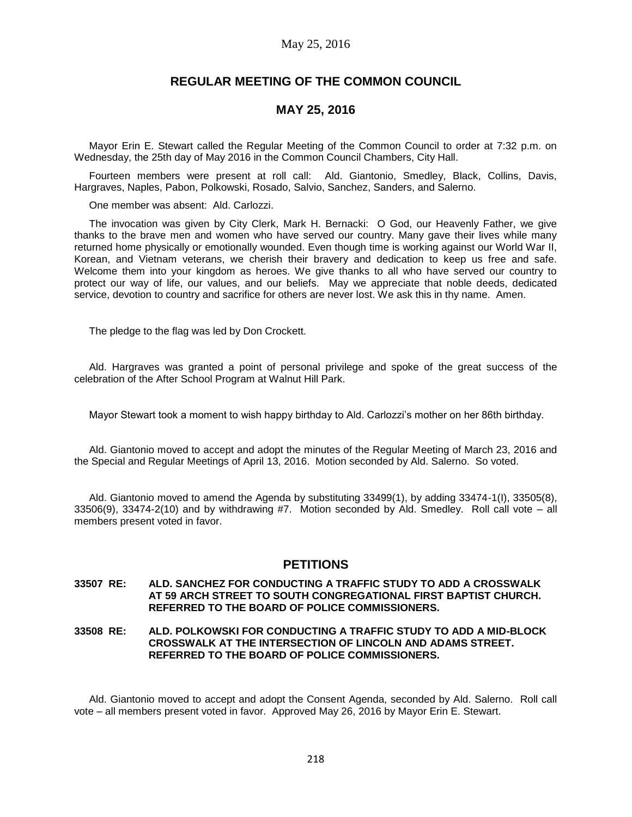## May 25, 2016

## **REGULAR MEETING OF THE COMMON COUNCIL**

## **MAY 25, 2016**

Mayor Erin E. Stewart called the Regular Meeting of the Common Council to order at 7:32 p.m. on Wednesday, the 25th day of May 2016 in the Common Council Chambers, City Hall.

Fourteen members were present at roll call: Ald. Giantonio, Smedley, Black, Collins, Davis, Hargraves, Naples, Pabon, Polkowski, Rosado, Salvio, Sanchez, Sanders, and Salerno.

One member was absent: Ald. Carlozzi.

The invocation was given by City Clerk, Mark H. Bernacki: O God, our Heavenly Father, we give thanks to the brave men and women who have served our country. Many gave their lives while many returned home physically or emotionally wounded. Even though time is working against our World War II, Korean, and Vietnam veterans, we cherish their bravery and dedication to keep us free and safe. Welcome them into your kingdom as heroes. We give thanks to all who have served our country to protect our way of life, our values, and our beliefs. May we appreciate that noble deeds, dedicated service, devotion to country and sacrifice for others are never lost. We ask this in thy name. Amen.

The pledge to the flag was led by Don Crockett.

Ald. Hargraves was granted a point of personal privilege and spoke of the great success of the celebration of the After School Program at Walnut Hill Park.

Mayor Stewart took a moment to wish happy birthday to Ald. Carlozzi's mother on her 86th birthday.

Ald. Giantonio moved to accept and adopt the minutes of the Regular Meeting of March 23, 2016 and the Special and Regular Meetings of April 13, 2016. Motion seconded by Ald. Salerno. So voted.

Ald. Giantonio moved to amend the Agenda by substituting 33499(1), by adding 33474-1(I), 33505(8), 33506(9), 33474-2(10) and by withdrawing #7. Motion seconded by Ald. Smedley. Roll call vote – all members present voted in favor.

## **PETITIONS**

#### **33507 RE: ALD. SANCHEZ FOR CONDUCTING A TRAFFIC STUDY TO ADD A CROSSWALK AT 59 ARCH STREET TO SOUTH CONGREGATIONAL FIRST BAPTIST CHURCH. REFERRED TO THE BOARD OF POLICE COMMISSIONERS.**

### **33508 RE: ALD. POLKOWSKI FOR CONDUCTING A TRAFFIC STUDY TO ADD A MID-BLOCK CROSSWALK AT THE INTERSECTION OF LINCOLN AND ADAMS STREET. REFERRED TO THE BOARD OF POLICE COMMISSIONERS.**

Ald. Giantonio moved to accept and adopt the Consent Agenda, seconded by Ald. Salerno. Roll call vote – all members present voted in favor. Approved May 26, 2016 by Mayor Erin E. Stewart.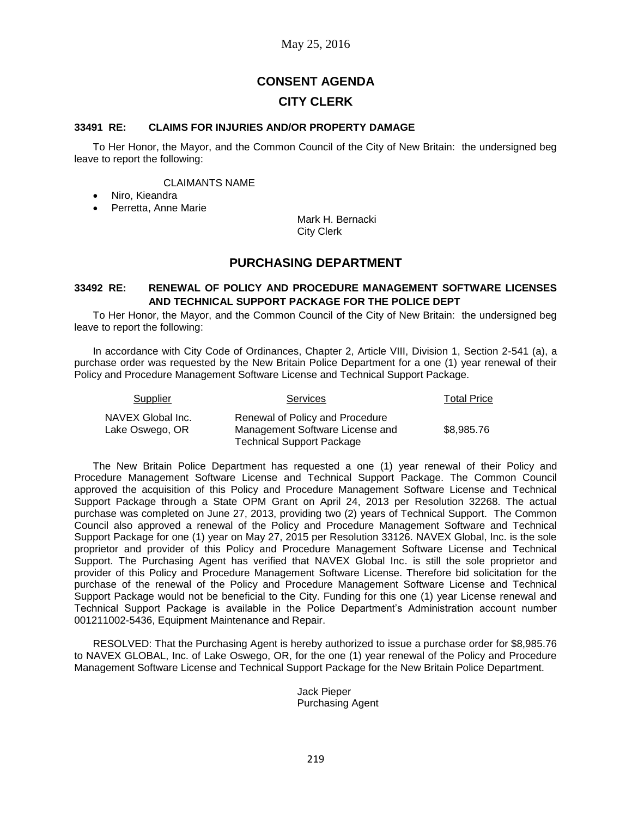# **CONSENT AGENDA CITY CLERK**

### **33491 RE: CLAIMS FOR INJURIES AND/OR PROPERTY DAMAGE**

To Her Honor, the Mayor, and the Common Council of the City of New Britain: the undersigned beg leave to report the following:

#### CLAIMANTS NAME

- Niro, Kieandra
- Perretta, Anne Marie

Mark H. Bernacki City Clerk

## **PURCHASING DEPARTMENT**

### **33492 RE: RENEWAL OF POLICY AND PROCEDURE MANAGEMENT SOFTWARE LICENSES AND TECHNICAL SUPPORT PACKAGE FOR THE POLICE DEPT**

To Her Honor, the Mayor, and the Common Council of the City of New Britain: the undersigned beg leave to report the following:

In accordance with City Code of Ordinances, Chapter 2, Article VIII, Division 1, Section 2-541 (a), a purchase order was requested by the New Britain Police Department for a one (1) year renewal of their Policy and Procedure Management Software License and Technical Support Package.

| Supplier                             | <b>Services</b>                                                                                        | <b>Total Price</b> |
|--------------------------------------|--------------------------------------------------------------------------------------------------------|--------------------|
| NAVEX Global Inc.<br>Lake Oswego, OR | Renewal of Policy and Procedure<br>Management Software License and<br><b>Technical Support Package</b> | \$8,985,76         |

The New Britain Police Department has requested a one (1) year renewal of their Policy and Procedure Management Software License and Technical Support Package. The Common Council approved the acquisition of this Policy and Procedure Management Software License and Technical Support Package through a State OPM Grant on April 24, 2013 per Resolution 32268. The actual purchase was completed on June 27, 2013, providing two (2) years of Technical Support. The Common Council also approved a renewal of the Policy and Procedure Management Software and Technical Support Package for one (1) year on May 27, 2015 per Resolution 33126. NAVEX Global, Inc. is the sole proprietor and provider of this Policy and Procedure Management Software License and Technical Support. The Purchasing Agent has verified that NAVEX Global Inc. is still the sole proprietor and provider of this Policy and Procedure Management Software License. Therefore bid solicitation for the purchase of the renewal of the Policy and Procedure Management Software License and Technical Support Package would not be beneficial to the City. Funding for this one (1) year License renewal and Technical Support Package is available in the Police Department's Administration account number 001211002-5436, Equipment Maintenance and Repair.

RESOLVED: That the Purchasing Agent is hereby authorized to issue a purchase order for \$8,985.76 to NAVEX GLOBAL, Inc. of Lake Oswego, OR, for the one (1) year renewal of the Policy and Procedure Management Software License and Technical Support Package for the New Britain Police Department.

> Jack Pieper Purchasing Agent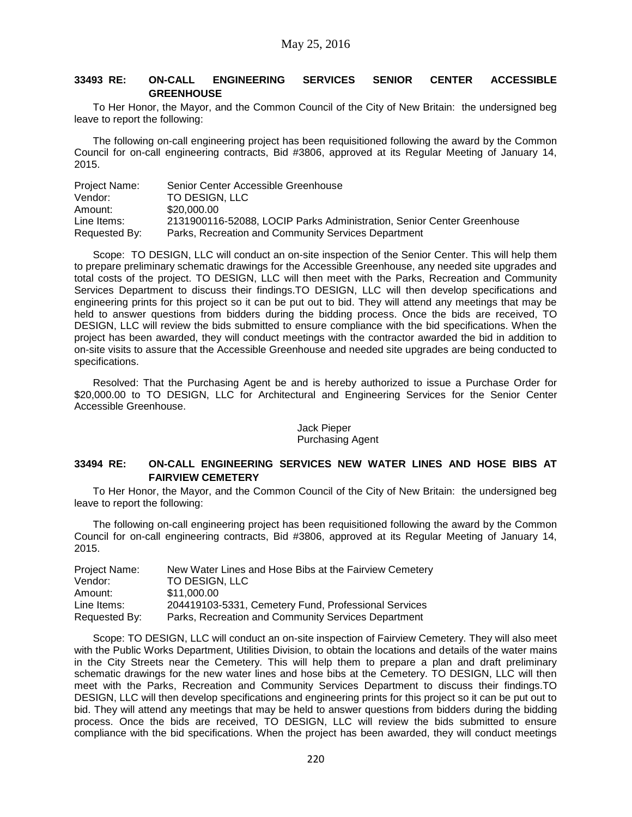## **33493 RE: ON-CALL ENGINEERING SERVICES SENIOR CENTER ACCESSIBLE GREENHOUSE**

To Her Honor, the Mayor, and the Common Council of the City of New Britain: the undersigned beg leave to report the following:

The following on-call engineering project has been requisitioned following the award by the Common Council for on-call engineering contracts, Bid #3806, approved at its Regular Meeting of January 14, 2015.

| Project Name: | Senior Center Accessible Greenhouse                                    |
|---------------|------------------------------------------------------------------------|
| Vendor:       | TO DESIGN. LLC                                                         |
| Amount:       | \$20,000.00                                                            |
| Line Items:   | 2131900116-52088, LOCIP Parks Administration, Senior Center Greenhouse |
| Requested By: | Parks, Recreation and Community Services Department                    |

Scope: TO DESIGN, LLC will conduct an on-site inspection of the Senior Center. This will help them to prepare preliminary schematic drawings for the Accessible Greenhouse, any needed site upgrades and total costs of the project. TO DESIGN, LLC will then meet with the Parks, Recreation and Community Services Department to discuss their findings.TO DESIGN, LLC will then develop specifications and engineering prints for this project so it can be put out to bid. They will attend any meetings that may be held to answer questions from bidders during the bidding process. Once the bids are received, TO DESIGN, LLC will review the bids submitted to ensure compliance with the bid specifications. When the project has been awarded, they will conduct meetings with the contractor awarded the bid in addition to on-site visits to assure that the Accessible Greenhouse and needed site upgrades are being conducted to specifications.

Resolved: That the Purchasing Agent be and is hereby authorized to issue a Purchase Order for \$20,000.00 to TO DESIGN, LLC for Architectural and Engineering Services for the Senior Center Accessible Greenhouse.

### Jack Pieper Purchasing Agent

### **33494 RE: ON-CALL ENGINEERING SERVICES NEW WATER LINES AND HOSE BIBS AT FAIRVIEW CEMETERY**

To Her Honor, the Mayor, and the Common Council of the City of New Britain: the undersigned beg leave to report the following:

The following on-call engineering project has been requisitioned following the award by the Common Council for on-call engineering contracts, Bid #3806, approved at its Regular Meeting of January 14, 2015.

| Project Name: | New Water Lines and Hose Bibs at the Fairview Cemetery |
|---------------|--------------------------------------------------------|
| Vendor:       | <b>TO DESIGN. LLC</b>                                  |
| Amount:       | \$11.000.00                                            |
| Line Items:   | 204419103-5331, Cemetery Fund, Professional Services   |
| Requested By: | Parks, Recreation and Community Services Department    |

Scope: TO DESIGN, LLC will conduct an on-site inspection of Fairview Cemetery. They will also meet with the Public Works Department, Utilities Division, to obtain the locations and details of the water mains in the City Streets near the Cemetery. This will help them to prepare a plan and draft preliminary schematic drawings for the new water lines and hose bibs at the Cemetery. TO DESIGN, LLC will then meet with the Parks, Recreation and Community Services Department to discuss their findings.TO DESIGN, LLC will then develop specifications and engineering prints for this project so it can be put out to bid. They will attend any meetings that may be held to answer questions from bidders during the bidding process. Once the bids are received, TO DESIGN, LLC will review the bids submitted to ensure compliance with the bid specifications. When the project has been awarded, they will conduct meetings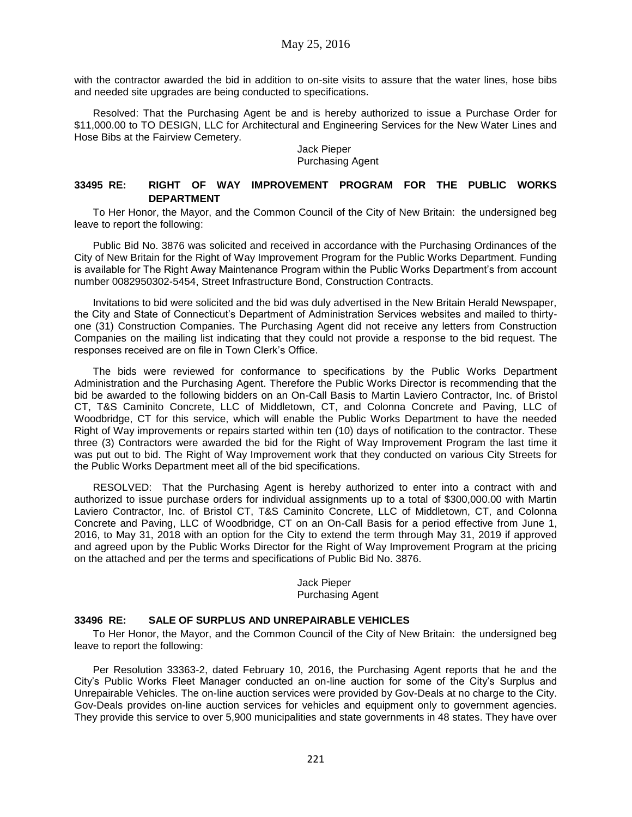with the contractor awarded the bid in addition to on-site visits to assure that the water lines, hose bibs and needed site upgrades are being conducted to specifications.

Resolved: That the Purchasing Agent be and is hereby authorized to issue a Purchase Order for \$11,000.00 to TO DESIGN, LLC for Architectural and Engineering Services for the New Water Lines and Hose Bibs at the Fairview Cemetery.

Jack Pieper Purchasing Agent

## **33495 RE: RIGHT OF WAY IMPROVEMENT PROGRAM FOR THE PUBLIC WORKS DEPARTMENT**

To Her Honor, the Mayor, and the Common Council of the City of New Britain: the undersigned beg leave to report the following:

Public Bid No. 3876 was solicited and received in accordance with the Purchasing Ordinances of the City of New Britain for the Right of Way Improvement Program for the Public Works Department. Funding is available for The Right Away Maintenance Program within the Public Works Department's from account number 0082950302-5454, Street Infrastructure Bond, Construction Contracts.

Invitations to bid were solicited and the bid was duly advertised in the New Britain Herald Newspaper, the City and State of Connecticut's Department of Administration Services websites and mailed to thirtyone (31) Construction Companies. The Purchasing Agent did not receive any letters from Construction Companies on the mailing list indicating that they could not provide a response to the bid request. The responses received are on file in Town Clerk's Office.

The bids were reviewed for conformance to specifications by the Public Works Department Administration and the Purchasing Agent. Therefore the Public Works Director is recommending that the bid be awarded to the following bidders on an On-Call Basis to Martin Laviero Contractor, Inc. of Bristol CT, T&S Caminito Concrete, LLC of Middletown, CT, and Colonna Concrete and Paving, LLC of Woodbridge, CT for this service, which will enable the Public Works Department to have the needed Right of Way improvements or repairs started within ten (10) days of notification to the contractor. These three (3) Contractors were awarded the bid for the Right of Way Improvement Program the last time it was put out to bid. The Right of Way Improvement work that they conducted on various City Streets for the Public Works Department meet all of the bid specifications.

RESOLVED: That the Purchasing Agent is hereby authorized to enter into a contract with and authorized to issue purchase orders for individual assignments up to a total of \$300,000.00 with Martin Laviero Contractor, Inc. of Bristol CT, T&S Caminito Concrete, LLC of Middletown, CT, and Colonna Concrete and Paving, LLC of Woodbridge, CT on an On-Call Basis for a period effective from June 1, 2016, to May 31, 2018 with an option for the City to extend the term through May 31, 2019 if approved and agreed upon by the Public Works Director for the Right of Way Improvement Program at the pricing on the attached and per the terms and specifications of Public Bid No. 3876.

> Jack Pieper Purchasing Agent

### **33496 RE: SALE OF SURPLUS AND UNREPAIRABLE VEHICLES**

To Her Honor, the Mayor, and the Common Council of the City of New Britain: the undersigned beg leave to report the following:

Per Resolution 33363-2, dated February 10, 2016, the Purchasing Agent reports that he and the City's Public Works Fleet Manager conducted an on-line auction for some of the City's Surplus and Unrepairable Vehicles. The on-line auction services were provided by Gov-Deals at no charge to the City. Gov-Deals provides on-line auction services for vehicles and equipment only to government agencies. They provide this service to over 5,900 municipalities and state governments in 48 states. They have over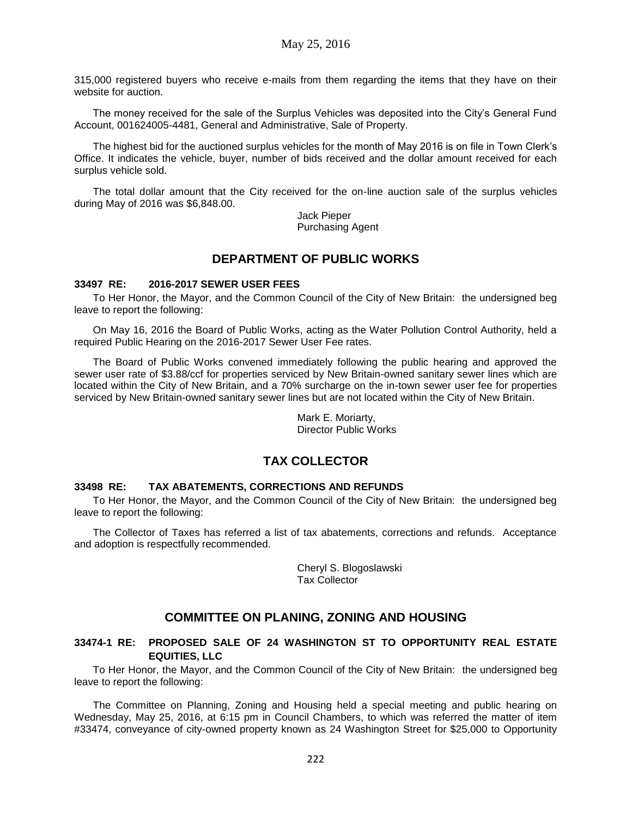315,000 registered buyers who receive e-mails from them regarding the items that they have on their website for auction.

The money received for the sale of the Surplus Vehicles was deposited into the City's General Fund Account, 001624005-4481, General and Administrative, Sale of Property.

The highest bid for the auctioned surplus vehicles for the month of May 2016 is on file in Town Clerk's Office. It indicates the vehicle, buyer, number of bids received and the dollar amount received for each surplus vehicle sold.

The total dollar amount that the City received for the on-line auction sale of the surplus vehicles during May of 2016 was \$6,848.00.

> Jack Pieper Purchasing Agent

## **DEPARTMENT OF PUBLIC WORKS**

### **33497 RE: 2016-2017 SEWER USER FEES**

To Her Honor, the Mayor, and the Common Council of the City of New Britain: the undersigned beg leave to report the following:

On May 16, 2016 the Board of Public Works, acting as the Water Pollution Control Authority, held a required Public Hearing on the 2016-2017 Sewer User Fee rates.

The Board of Public Works convened immediately following the public hearing and approved the sewer user rate of \$3.88/ccf for properties serviced by New Britain-owned sanitary sewer lines which are located within the City of New Britain, and a 70% surcharge on the in-town sewer user fee for properties serviced by New Britain-owned sanitary sewer lines but are not located within the City of New Britain.

> Mark E. Moriarty, Director Public Works

## **TAX COLLECTOR**

#### **33498 RE: TAX ABATEMENTS, CORRECTIONS AND REFUNDS**

To Her Honor, the Mayor, and the Common Council of the City of New Britain: the undersigned beg leave to report the following:

The Collector of Taxes has referred a list of tax abatements, corrections and refunds. Acceptance and adoption is respectfully recommended.

> Cheryl S. Blogoslawski Tax Collector

## **COMMITTEE ON PLANING, ZONING AND HOUSING**

## **33474-1 RE: PROPOSED SALE OF 24 WASHINGTON ST TO OPPORTUNITY REAL ESTATE EQUITIES, LLC**

To Her Honor, the Mayor, and the Common Council of the City of New Britain: the undersigned beg leave to report the following:

The Committee on Planning, Zoning and Housing held a special meeting and public hearing on Wednesday, May 25, 2016, at 6:15 pm in Council Chambers, to which was referred the matter of item #33474, conveyance of city-owned property known as 24 Washington Street for \$25,000 to Opportunity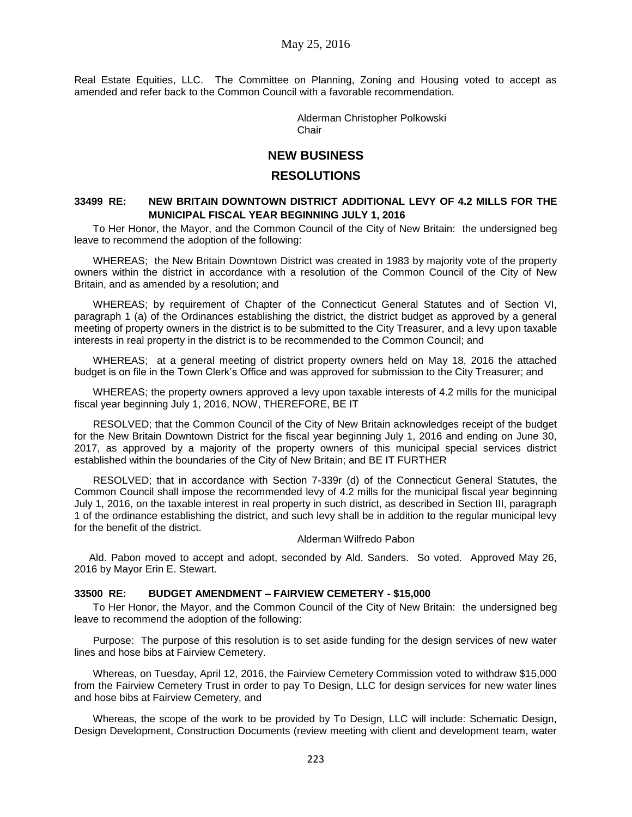Real Estate Equities, LLC. The Committee on Planning, Zoning and Housing voted to accept as amended and refer back to the Common Council with a favorable recommendation.

> Alderman Christopher Polkowski **Chair**

## **NEW BUSINESS**

## **RESOLUTIONS**

### **33499 RE: NEW BRITAIN DOWNTOWN DISTRICT ADDITIONAL LEVY OF 4.2 MILLS FOR THE MUNICIPAL FISCAL YEAR BEGINNING JULY 1, 2016**

To Her Honor, the Mayor, and the Common Council of the City of New Britain: the undersigned beg leave to recommend the adoption of the following:

WHEREAS; the New Britain Downtown District was created in 1983 by majority vote of the property owners within the district in accordance with a resolution of the Common Council of the City of New Britain, and as amended by a resolution; and

WHEREAS; by requirement of Chapter of the Connecticut General Statutes and of Section VI, paragraph 1 (a) of the Ordinances establishing the district, the district budget as approved by a general meeting of property owners in the district is to be submitted to the City Treasurer, and a levy upon taxable interests in real property in the district is to be recommended to the Common Council; and

WHEREAS; at a general meeting of district property owners held on May 18, 2016 the attached budget is on file in the Town Clerk's Office and was approved for submission to the City Treasurer; and

WHEREAS; the property owners approved a levy upon taxable interests of 4.2 mills for the municipal fiscal year beginning July 1, 2016, NOW, THEREFORE, BE IT

RESOLVED; that the Common Council of the City of New Britain acknowledges receipt of the budget for the New Britain Downtown District for the fiscal year beginning July 1, 2016 and ending on June 30, 2017, as approved by a majority of the property owners of this municipal special services district established within the boundaries of the City of New Britain; and BE IT FURTHER

RESOLVED; that in accordance with Section 7-339r (d) of the Connecticut General Statutes, the Common Council shall impose the recommended levy of 4.2 mills for the municipal fiscal year beginning July 1, 2016, on the taxable interest in real property in such district, as described in Section III, paragraph 1 of the ordinance establishing the district, and such levy shall be in addition to the regular municipal levy for the benefit of the district.

#### Alderman Wilfredo Pabon

Ald. Pabon moved to accept and adopt, seconded by Ald. Sanders. So voted. Approved May 26, 2016 by Mayor Erin E. Stewart.

### **33500 RE: BUDGET AMENDMENT – FAIRVIEW CEMETERY - \$15,000**

To Her Honor, the Mayor, and the Common Council of the City of New Britain: the undersigned beg leave to recommend the adoption of the following:

Purpose: The purpose of this resolution is to set aside funding for the design services of new water lines and hose bibs at Fairview Cemetery.

Whereas, on Tuesday, April 12, 2016, the Fairview Cemetery Commission voted to withdraw \$15,000 from the Fairview Cemetery Trust in order to pay To Design, LLC for design services for new water lines and hose bibs at Fairview Cemetery, and

Whereas, the scope of the work to be provided by To Design, LLC will include: Schematic Design, Design Development, Construction Documents (review meeting with client and development team, water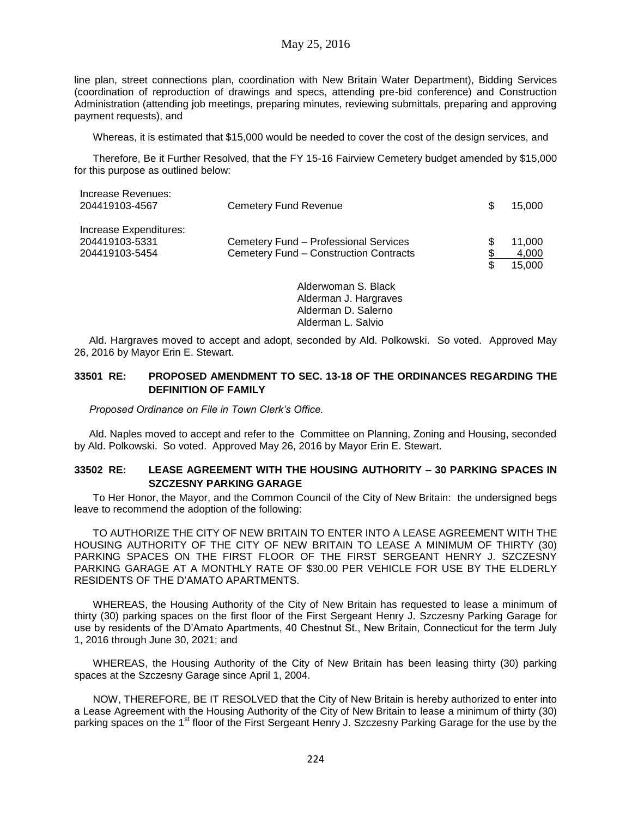line plan, street connections plan, coordination with New Britain Water Department), Bidding Services (coordination of reproduction of drawings and specs, attending pre-bid conference) and Construction Administration (attending job meetings, preparing minutes, reviewing submittals, preparing and approving payment requests), and

Whereas, it is estimated that \$15,000 would be needed to cover the cost of the design services, and

Therefore, Be it Further Resolved, that the FY 15-16 Fairview Cemetery budget amended by \$15,000 for this purpose as outlined below:

| Increase Revenues:<br>204419103-4567                       | <b>Cemetery Fund Revenue</b>                                                    | S  | 15.000                    |
|------------------------------------------------------------|---------------------------------------------------------------------------------|----|---------------------------|
| Increase Expenditures:<br>204419103-5331<br>204419103-5454 | Cemetery Fund - Professional Services<br>Cemetery Fund - Construction Contracts | \$ | 11.000<br>4,000<br>15.000 |
|                                                            | Alderwoman S. Black                                                             |    |                           |

Alderwoman S. Black Alderman J. Hargraves Alderman D. Salerno Alderman L. Salvio

Ald. Hargraves moved to accept and adopt, seconded by Ald. Polkowski. So voted. Approved May 26, 2016 by Mayor Erin E. Stewart.

## **33501 RE: PROPOSED AMENDMENT TO SEC. 13-18 OF THE ORDINANCES REGARDING THE DEFINITION OF FAMILY**

*Proposed Ordinance on File in Town Clerk's Office.*

Ald. Naples moved to accept and refer to the Committee on Planning, Zoning and Housing, seconded by Ald. Polkowski. So voted. Approved May 26, 2016 by Mayor Erin E. Stewart.

### **33502 RE: LEASE AGREEMENT WITH THE HOUSING AUTHORITY – 30 PARKING SPACES IN SZCZESNY PARKING GARAGE**

To Her Honor, the Mayor, and the Common Council of the City of New Britain: the undersigned begs leave to recommend the adoption of the following:

TO AUTHORIZE THE CITY OF NEW BRITAIN TO ENTER INTO A LEASE AGREEMENT WITH THE HOUSING AUTHORITY OF THE CITY OF NEW BRITAIN TO LEASE A MINIMUM OF THIRTY (30) PARKING SPACES ON THE FIRST FLOOR OF THE FIRST SERGEANT HENRY J. SZCZESNY PARKING GARAGE AT A MONTHLY RATE OF \$30.00 PER VEHICLE FOR USE BY THE ELDERLY RESIDENTS OF THE D'AMATO APARTMENTS.

WHEREAS, the Housing Authority of the City of New Britain has requested to lease a minimum of thirty (30) parking spaces on the first floor of the First Sergeant Henry J. Szczesny Parking Garage for use by residents of the D'Amato Apartments, 40 Chestnut St., New Britain, Connecticut for the term July 1, 2016 through June 30, 2021; and

WHEREAS, the Housing Authority of the City of New Britain has been leasing thirty (30) parking spaces at the Szczesny Garage since April 1, 2004.

NOW, THEREFORE, BE IT RESOLVED that the City of New Britain is hereby authorized to enter into a Lease Agreement with the Housing Authority of the City of New Britain to lease a minimum of thirty (30) parking spaces on the 1<sup>st</sup> floor of the First Sergeant Henry J. Szczesny Parking Garage for the use by the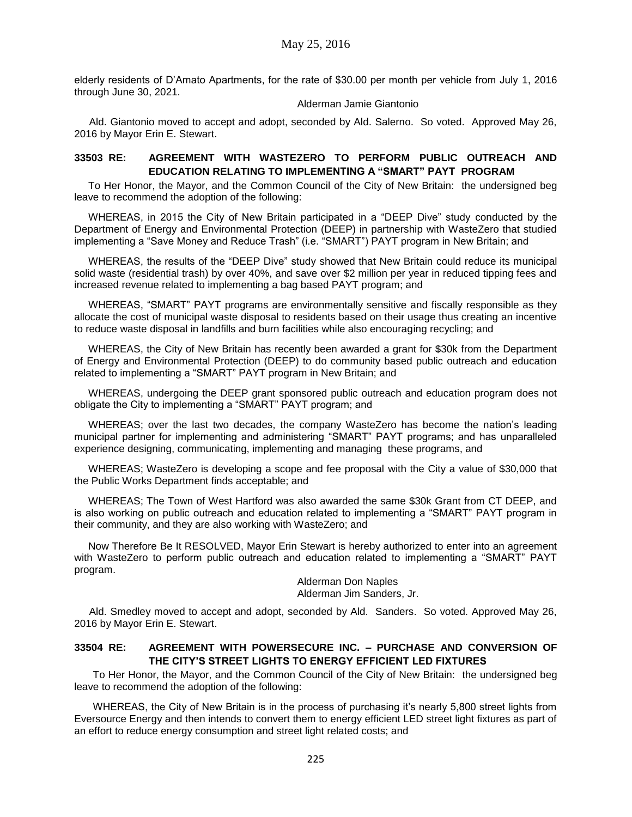elderly residents of D'Amato Apartments, for the rate of \$30.00 per month per vehicle from July 1, 2016 through June 30, 2021.

#### Alderman Jamie Giantonio

Ald. Giantonio moved to accept and adopt, seconded by Ald. Salerno. So voted. Approved May 26, 2016 by Mayor Erin E. Stewart.

## **33503 RE: AGREEMENT WITH WASTEZERO TO PERFORM PUBLIC OUTREACH AND EDUCATION RELATING TO IMPLEMENTING A "SMART" PAYT PROGRAM**

To Her Honor, the Mayor, and the Common Council of the City of New Britain: the undersigned beg leave to recommend the adoption of the following:

WHEREAS, in 2015 the City of New Britain participated in a "DEEP Dive" study conducted by the Department of Energy and Environmental Protection (DEEP) in partnership with WasteZero that studied implementing a "Save Money and Reduce Trash" (i.e. "SMART") PAYT program in New Britain; and

WHEREAS, the results of the "DEEP Dive" study showed that New Britain could reduce its municipal solid waste (residential trash) by over 40%, and save over \$2 million per year in reduced tipping fees and increased revenue related to implementing a bag based PAYT program; and

WHEREAS, "SMART" PAYT programs are environmentally sensitive and fiscally responsible as they allocate the cost of municipal waste disposal to residents based on their usage thus creating an incentive to reduce waste disposal in landfills and burn facilities while also encouraging recycling; and

WHEREAS, the City of New Britain has recently been awarded a grant for \$30k from the Department of Energy and Environmental Protection (DEEP) to do community based public outreach and education related to implementing a "SMART" PAYT program in New Britain; and

WHEREAS, undergoing the DEEP grant sponsored public outreach and education program does not obligate the City to implementing a "SMART" PAYT program; and

WHEREAS; over the last two decades, the company WasteZero has become the nation's leading municipal partner for implementing and administering "SMART" PAYT programs; and has unparalleled experience designing, communicating, implementing and managing these programs, and

WHEREAS; WasteZero is developing a scope and fee proposal with the City a value of \$30,000 that the Public Works Department finds acceptable; and

WHEREAS; The Town of West Hartford was also awarded the same \$30k Grant from CT DEEP, and is also working on public outreach and education related to implementing a "SMART" PAYT program in their community, and they are also working with WasteZero; and

Now Therefore Be It RESOLVED, Mayor Erin Stewart is hereby authorized to enter into an agreement with WasteZero to perform public outreach and education related to implementing a "SMART" PAYT program.

Alderman Don Naples Alderman Jim Sanders, Jr.

Ald. Smedley moved to accept and adopt, seconded by Ald. Sanders. So voted. Approved May 26, 2016 by Mayor Erin E. Stewart.

## **33504 RE: AGREEMENT WITH POWERSECURE INC. – PURCHASE AND CONVERSION OF THE CITY'S STREET LIGHTS TO ENERGY EFFICIENT LED FIXTURES**

To Her Honor, the Mayor, and the Common Council of the City of New Britain: the undersigned beg leave to recommend the adoption of the following:

WHEREAS, the City of New Britain is in the process of purchasing it's nearly 5,800 street lights from Eversource Energy and then intends to convert them to energy efficient LED street light fixtures as part of an effort to reduce energy consumption and street light related costs; and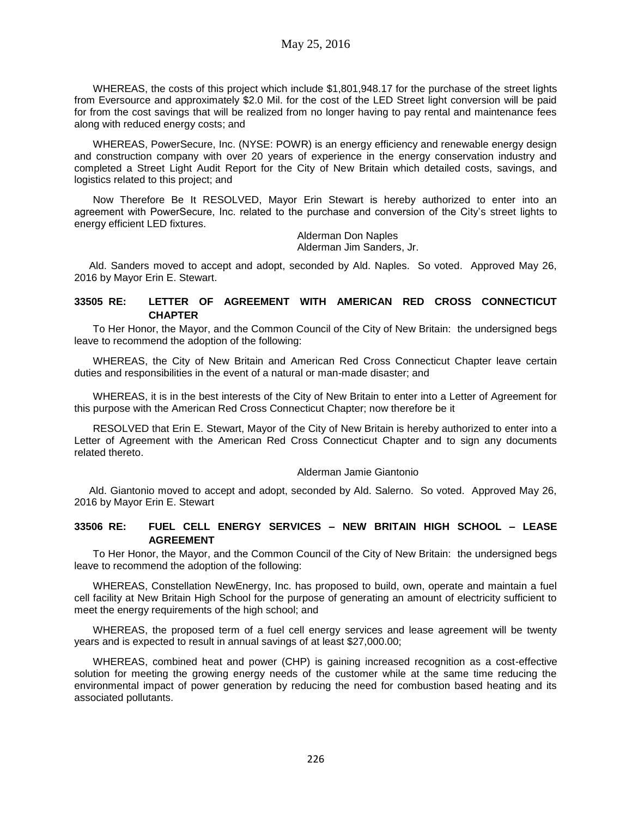WHEREAS, the costs of this project which include \$1,801,948.17 for the purchase of the street lights from Eversource and approximately \$2.0 Mil. for the cost of the LED Street light conversion will be paid for from the cost savings that will be realized from no longer having to pay rental and maintenance fees along with reduced energy costs; and

WHEREAS, PowerSecure, Inc. (NYSE: POWR) is an energy efficiency and renewable energy design and construction company with over 20 years of experience in the energy conservation industry and completed a Street Light Audit Report for the City of New Britain which detailed costs, savings, and logistics related to this project; and

Now Therefore Be It RESOLVED, Mayor Erin Stewart is hereby authorized to enter into an agreement with PowerSecure, Inc. related to the purchase and conversion of the City's street lights to energy efficient LED fixtures.

Alderman Don Naples Alderman Jim Sanders, Jr.

Ald. Sanders moved to accept and adopt, seconded by Ald. Naples. So voted. Approved May 26, 2016 by Mayor Erin E. Stewart.

### **33505 RE: LETTER OF AGREEMENT WITH AMERICAN RED CROSS CONNECTICUT CHAPTER**

To Her Honor, the Mayor, and the Common Council of the City of New Britain: the undersigned begs leave to recommend the adoption of the following:

WHEREAS, the City of New Britain and American Red Cross Connecticut Chapter leave certain duties and responsibilities in the event of a natural or man-made disaster; and

WHEREAS, it is in the best interests of the City of New Britain to enter into a Letter of Agreement for this purpose with the American Red Cross Connecticut Chapter; now therefore be it

RESOLVED that Erin E. Stewart, Mayor of the City of New Britain is hereby authorized to enter into a Letter of Agreement with the American Red Cross Connecticut Chapter and to sign any documents related thereto.

#### Alderman Jamie Giantonio

Ald. Giantonio moved to accept and adopt, seconded by Ald. Salerno. So voted. Approved May 26, 2016 by Mayor Erin E. Stewart

### **33506 RE: FUEL CELL ENERGY SERVICES – NEW BRITAIN HIGH SCHOOL – LEASE AGREEMENT**

To Her Honor, the Mayor, and the Common Council of the City of New Britain: the undersigned begs leave to recommend the adoption of the following:

WHEREAS, Constellation NewEnergy, Inc. has proposed to build, own, operate and maintain a fuel cell facility at New Britain High School for the purpose of generating an amount of electricity sufficient to meet the energy requirements of the high school; and

WHEREAS, the proposed term of a fuel cell energy services and lease agreement will be twenty years and is expected to result in annual savings of at least \$27,000.00;

WHEREAS, combined heat and power (CHP) is gaining increased recognition as a cost-effective solution for meeting the growing energy needs of the customer while at the same time reducing the environmental impact of power generation by reducing the need for combustion based heating and its associated pollutants.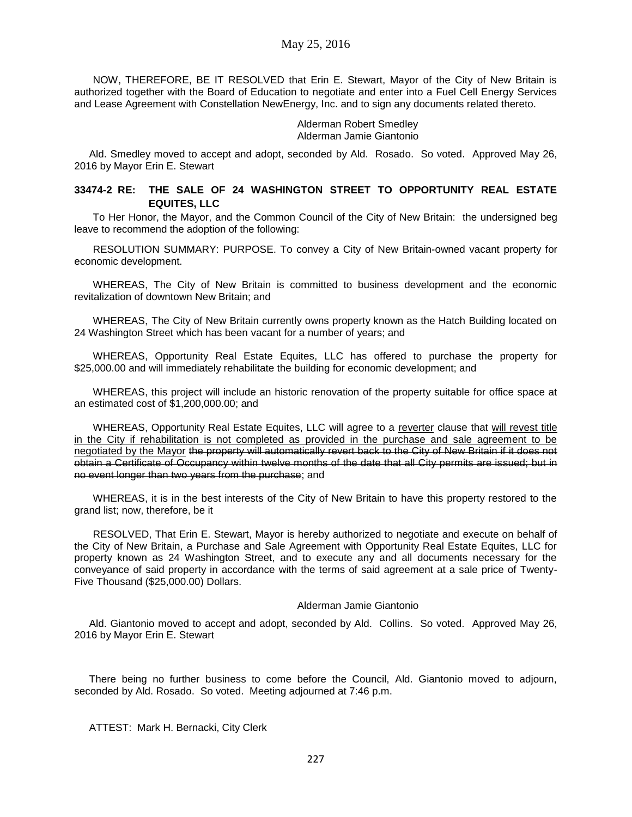NOW, THEREFORE, BE IT RESOLVED that Erin E. Stewart, Mayor of the City of New Britain is authorized together with the Board of Education to negotiate and enter into a Fuel Cell Energy Services and Lease Agreement with Constellation NewEnergy, Inc. and to sign any documents related thereto.

> Alderman Robert Smedley Alderman Jamie Giantonio

Ald. Smedley moved to accept and adopt, seconded by Ald. Rosado. So voted. Approved May 26, 2016 by Mayor Erin E. Stewart

## **33474-2 RE: THE SALE OF 24 WASHINGTON STREET TO OPPORTUNITY REAL ESTATE EQUITES, LLC**

To Her Honor, the Mayor, and the Common Council of the City of New Britain: the undersigned beg leave to recommend the adoption of the following:

RESOLUTION SUMMARY: PURPOSE. To convey a City of New Britain-owned vacant property for economic development.

WHEREAS, The City of New Britain is committed to business development and the economic revitalization of downtown New Britain; and

WHEREAS, The City of New Britain currently owns property known as the Hatch Building located on 24 Washington Street which has been vacant for a number of years; and

WHEREAS, Opportunity Real Estate Equites, LLC has offered to purchase the property for \$25,000.00 and will immediately rehabilitate the building for economic development; and

WHEREAS, this project will include an historic renovation of the property suitable for office space at an estimated cost of \$1,200,000.00; and

WHEREAS, Opportunity Real Estate Equites, LLC will agree to a reverter clause that will revest title in the City if rehabilitation is not completed as provided in the purchase and sale agreement to be negotiated by the Mayor the property will automatically revert back to the City of New Britain if it does not obtain a Certificate of Occupancy within twelve months of the date that all City permits are issued; but in no event longer than two years from the purchase; and

WHEREAS, it is in the best interests of the City of New Britain to have this property restored to the grand list; now, therefore, be it

RESOLVED, That Erin E. Stewart, Mayor is hereby authorized to negotiate and execute on behalf of the City of New Britain, a Purchase and Sale Agreement with Opportunity Real Estate Equites, LLC for property known as 24 Washington Street, and to execute any and all documents necessary for the conveyance of said property in accordance with the terms of said agreement at a sale price of Twenty-Five Thousand (\$25,000.00) Dollars.

#### Alderman Jamie Giantonio

Ald. Giantonio moved to accept and adopt, seconded by Ald. Collins. So voted. Approved May 26, 2016 by Mayor Erin E. Stewart

There being no further business to come before the Council, Ald. Giantonio moved to adjourn, seconded by Ald. Rosado. So voted. Meeting adjourned at 7:46 p.m.

ATTEST: Mark H. Bernacki, City Clerk